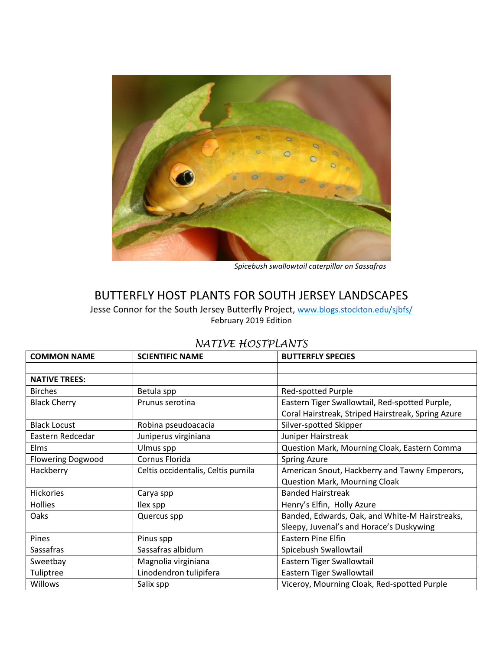

*Spicebush swallowtail caterpillar on Sassafras*

# BUTTERFLY HOST PLANTS FOR SOUTH JERSEY LANDSCAPES

Jesse Connor for the South Jersey Butterfly Project, [www.blogs.stockton.edu/sjbfs/](http://www.blogs.stockton.edu/sjbfs/) February 2019 Edition

| <b>COMMON NAME</b>       | <b>SCIENTIFIC NAME</b>             | <b>BUTTERFLY SPECIES</b>                           |  |
|--------------------------|------------------------------------|----------------------------------------------------|--|
|                          |                                    |                                                    |  |
| <b>NATIVE TREES:</b>     |                                    |                                                    |  |
| <b>Birches</b>           | Betula spp                         | <b>Red-spotted Purple</b>                          |  |
| <b>Black Cherry</b>      | Prunus serotina                    | Eastern Tiger Swallowtail, Red-spotted Purple,     |  |
|                          |                                    | Coral Hairstreak, Striped Hairstreak, Spring Azure |  |
| <b>Black Locust</b>      | Robina pseudoacacia                | Silver-spotted Skipper                             |  |
| Eastern Redcedar         | Juniperus virginiana               | Juniper Hairstreak                                 |  |
| <b>Elms</b>              | Ulmus spp                          | Question Mark, Mourning Cloak, Eastern Comma       |  |
| <b>Flowering Dogwood</b> | Cornus Florida                     | <b>Spring Azure</b>                                |  |
| Hackberry                | Celtis occidentalis, Celtis pumila | American Snout, Hackberry and Tawny Emperors,      |  |
|                          |                                    | <b>Question Mark, Mourning Cloak</b>               |  |
| <b>Hickories</b>         | Carya spp                          | <b>Banded Hairstreak</b>                           |  |
| <b>Hollies</b>           | Ilex spp                           | Henry's Elfin, Holly Azure                         |  |
| Oaks                     | Quercus spp                        | Banded, Edwards, Oak, and White-M Hairstreaks,     |  |
|                          |                                    | Sleepy, Juvenal's and Horace's Duskywing           |  |
| Pines                    | Pinus spp                          | <b>Eastern Pine Elfin</b>                          |  |
| Sassafras                | Sassafras albidum                  | Spicebush Swallowtail                              |  |
| Sweetbay                 | Magnolia virginiana                | Eastern Tiger Swallowtail                          |  |
| Tuliptree                | Linodendron tulipifera             | Eastern Tiger Swallowtail                          |  |
| <b>Willows</b>           | Salix spp                          | Viceroy, Mourning Cloak, Red-spotted Purple        |  |

### *NATIVE HOSTPLANTS*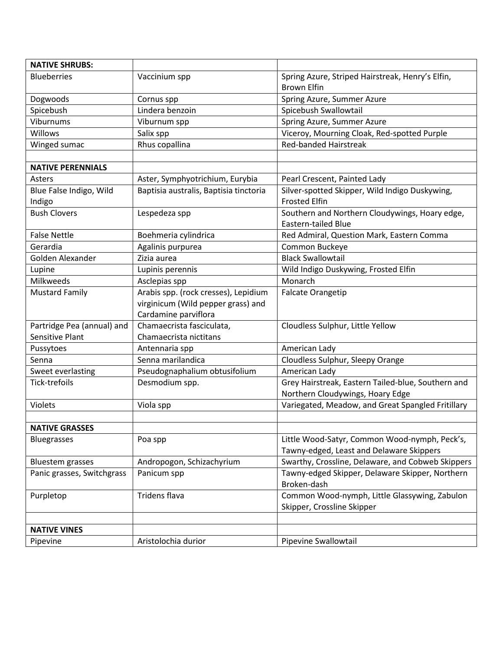| <b>NATIVE SHRUBS:</b>      |                                        |                                                                |  |
|----------------------------|----------------------------------------|----------------------------------------------------------------|--|
| <b>Blueberries</b>         | Vaccinium spp                          | Spring Azure, Striped Hairstreak, Henry's Elfin,               |  |
|                            |                                        | <b>Brown Elfin</b>                                             |  |
| Dogwoods                   | Cornus spp                             | Spring Azure, Summer Azure                                     |  |
| Spicebush                  | Lindera benzoin                        | Spicebush Swallowtail                                          |  |
| Viburnums                  | Viburnum spp                           | Spring Azure, Summer Azure                                     |  |
| Willows                    | Salix spp                              | Viceroy, Mourning Cloak, Red-spotted Purple                    |  |
| Winged sumac               | Rhus copallina                         | <b>Red-banded Hairstreak</b>                                   |  |
|                            |                                        |                                                                |  |
| <b>NATIVE PERENNIALS</b>   |                                        |                                                                |  |
| Asters                     | Aster, Symphyotrichium, Eurybia        | Pearl Crescent, Painted Lady                                   |  |
| Blue False Indigo, Wild    | Baptisia australis, Baptisia tinctoria | Silver-spotted Skipper, Wild Indigo Duskywing,                 |  |
| Indigo                     |                                        | <b>Frosted Elfin</b>                                           |  |
| <b>Bush Clovers</b>        | Lespedeza spp                          | Southern and Northern Cloudywings, Hoary edge,                 |  |
|                            |                                        | <b>Eastern-tailed Blue</b>                                     |  |
| <b>False Nettle</b>        | Boehmeria cylindrica                   | Red Admiral, Question Mark, Eastern Comma                      |  |
| Gerardia                   | Agalinis purpurea                      | Common Buckeye                                                 |  |
| Golden Alexander           | Zizia aurea                            | <b>Black Swallowtail</b>                                       |  |
| Lupine                     | Lupinis perennis                       | Wild Indigo Duskywing, Frosted Elfin                           |  |
| Milkweeds                  | Asclepias spp                          | Monarch                                                        |  |
| <b>Mustard Family</b>      | Arabis spp. (rock cresses), Lepidium   | <b>Falcate Orangetip</b>                                       |  |
|                            | virginicum (Wild pepper grass) and     |                                                                |  |
|                            | Cardamine parviflora                   |                                                                |  |
| Partridge Pea (annual) and | Chamaecrista fasciculata,              | Cloudless Sulphur, Little Yellow                               |  |
| Sensitive Plant            | Chamaecrista nictitans                 |                                                                |  |
| Pussytoes                  | Antennaria spp                         | American Lady                                                  |  |
| Senna                      | Senna marilandica                      | Cloudless Sulphur, Sleepy Orange                               |  |
| Sweet everlasting          | Pseudognaphalium obtusifolium          | American Lady                                                  |  |
| Tick-trefoils              | Desmodium spp.                         | Grey Hairstreak, Eastern Tailed-blue, Southern and             |  |
|                            |                                        | Northern Cloudywings, Hoary Edge                               |  |
| Violets                    | Viola spp                              | Variegated, Meadow, and Great Spangled Fritillary              |  |
|                            |                                        |                                                                |  |
| <b>NATIVE GRASSES</b>      |                                        |                                                                |  |
| <b>Bluegrasses</b>         | Poa spp                                | Little Wood-Satyr, Common Wood-nymph, Peck's,                  |  |
|                            |                                        | Tawny-edged, Least and Delaware Skippers                       |  |
| <b>Bluestem grasses</b>    | Andropogon, Schizachyrium              | Swarthy, Crossline, Delaware, and Cobweb Skippers              |  |
| Panic grasses, Switchgrass | Panicum spp                            | Tawny-edged Skipper, Delaware Skipper, Northern<br>Broken-dash |  |
| Purpletop                  | Tridens flava                          | Common Wood-nymph, Little Glassywing, Zabulon                  |  |
|                            |                                        | Skipper, Crossline Skipper                                     |  |
|                            |                                        |                                                                |  |
| <b>NATIVE VINES</b>        |                                        |                                                                |  |
| Pipevine                   | Aristolochia durior                    | Pipevine Swallowtail                                           |  |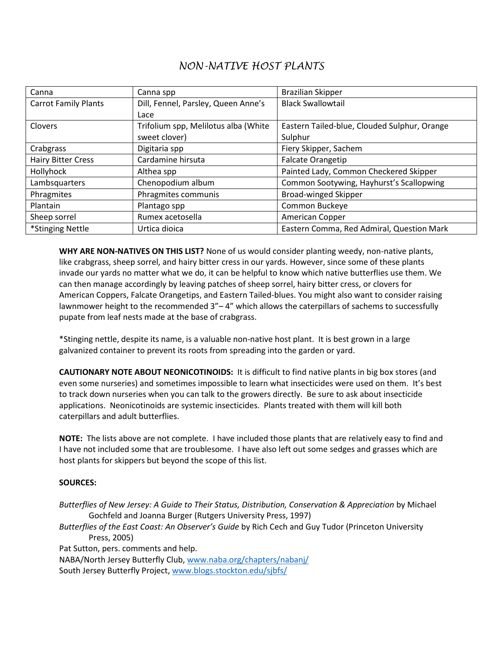## *NON-NATIVE HOST PLANTS*

| Canna                       | Canna spp                            | <b>Brazilian Skipper</b>                     |
|-----------------------------|--------------------------------------|----------------------------------------------|
| <b>Carrot Family Plants</b> | Dill, Fennel, Parsley, Queen Anne's  | <b>Black Swallowtail</b>                     |
|                             | Lace                                 |                                              |
| Clovers                     | Trifolium spp, Melilotus alba (White | Eastern Tailed-blue, Clouded Sulphur, Orange |
|                             | sweet clover)                        | Sulphur                                      |
| Crabgrass                   | Digitaria spp                        | Fiery Skipper, Sachem                        |
| <b>Hairy Bitter Cress</b>   | Cardamine hirsuta                    | <b>Falcate Orangetip</b>                     |
| Hollyhock                   | Althea spp                           | Painted Lady, Common Checkered Skipper       |
| Lambsquarters               | Chenopodium album                    | Common Sootywing, Hayhurst's Scallopwing     |
| Phragmites                  | Phragmites communis                  | <b>Broad-winged Skipper</b>                  |
| Plantain                    | Plantago spp                         | Common Buckeye                               |
| Sheep sorrel                | Rumex acetosella                     | American Copper                              |
| *Stinging Nettle            | Urtica dioica                        | Eastern Comma, Red Admiral, Question Mark    |

**WHY ARE NON-NATIVES ON THIS LIST?** None of us would consider planting weedy, non-native plants, like crabgrass, sheep sorrel, and hairy bitter cress in our yards. However, since some of these plants invade our yards no matter what we do, it can be helpful to know which native butterflies use them. We can then manage accordingly by leaving patches of sheep sorrel, hairy bitter cress, or clovers for American Coppers, Falcate Orangetips, and Eastern Tailed-blues. You might also want to consider raising lawnmower height to the recommended 3"-4" which allows the caterpillars of sachems to successfully pupate from leaf nests made at the base of crabgrass.

\*Stinging nettle, despite its name, is a valuable non-native host plant. It is best grown in a large galvanized container to prevent its roots from spreading into the garden or yard.

**CAUTIONARY NOTE ABOUT NEONICOTINOIDS:** It is difficult to find native plants in big box stores (and even some nurseries) and sometimes impossible to learn what insecticides were used on them. It's best to track down nurseries when you can talk to the growers directly. Be sure to ask about insecticide applications. Neonicotinoids are systemic insecticides. Plants treated with them will kill both caterpillars and adult butterflies.

**NOTE:** The lists above are not complete. I have included those plants that are relatively easy to find and I have not included some that are troublesome. I have also left out some sedges and grasses which are host plants for skippers but beyond the scope of this list.

#### **SOURCES:**

*Butterflies of New Jersey: A Guide to Their Status, Distribution, Conservation & Appreciation* by Michael Gochfeld and Joanna Burger (Rutgers University Press, 1997)

*Butterflies of the East Coast: An Observer's Guide* by Rich Cech and Guy Tudor (Princeton University Press, 2005)

Pat Sutton, pers. comments and help.

NABA/North Jersey Butterfly Club, [www.naba.org/chapters/nabanj/](http://www.naba.org/chapters/nabanj/)

South Jersey Butterfly Project[, www.blogs.stockton.edu/sjbfs/](http://www.blogs.stockton.edu/sjbfs/)